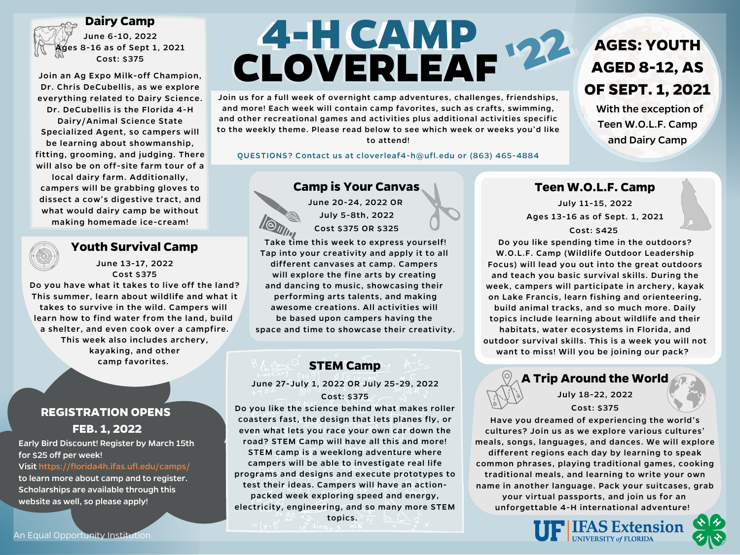# **REGISTRATION OPENS FEB. 1, 2022**

Early Bird Discount! Register by March 15th for \$25 off per week! Visit https://florida4h.ifas.ufl.edu/camps/ to learn more about camp and to register. Scholarships are available through this website as well, so please apply!

# **44--HHCCAAMMPP**



# **Camp is Your Canvas**

June 20-24, 2022 OR July 5-8th, 2022 Cost \$375 OR \$325



# **Youth Survival Camp**

June 13-17, 2022 Cost \$375

Do you have what it takes to live off the land? This summer, learn about wildlife and what it takes to survive in the wild. Campers will learn how to find water from the land, build a shelter, and even cook over a campfire. This week also includes archery, kayaking, and other camp favorites.

#### **Dairy Camp**

June 6-10, 2022 es 8-16 as of Sept 1, 2021 Cost: \$375

> June 27-July 1, 2022 OR July 25-29, 2022 Cost: \$375

Join an Ag Expo Milk-off Champion, Dr. Chris DeCubellis, as we explore everything related to Dairy Science. Dr. DeCubellis is the Florida 4-H Dairy/Animal Science State Specialized Agent, so campers will be learning about showmanship, fitting, grooming, and judging. There will also be on off-site farm tour of a local dairy farm. Additionally, campers will be grabbing gloves to dissect a cow's digestive tract, and what would dairy camp be without making homemade ice-cream!

> Take time this week to express yourself! Tap into your creativity and apply it to all

#### different canvases at camp. Campers will explore the fine arts by creating and dancing to music, showcasing their performing arts talents, and making awesome creations. All activities will be based upon campers having the space and time to showcase their creativity.

# **STEM Camp**

Do you like the science behind what makes roller coasters fast, the design that lets planes fly, or even what lets you race your own car down the road? STEM Camp will have all this and more! STEM camp is a weeklong adventure where campers will be able to investigate real life programs and designs and execute prototypes to test their ideas. Campers will have an actionpacked week exploring speed and energy, electricity, engineering, and so many more STEM topics.

#### **Teen W.O.L.F. Camp**

July 11-15, 2022 Ages 13-16 as of Sept. 1, 2021 Cost: \$425

Do you like spending time in the outdoors? W.O.L.F. Camp (Wildlife Outdoor Leadership Focus) will lead you out into the great outdoors and teach you basic survival skills. During the week, campers will participate in archery, kayak on Lake Francis, learn fishing and orienteering, build animal tracks, and so much more. Daily topics include learning about wildlife and their habitats, water ecosystems in Florida, and outdoor survival skills. This is a week you will not want to miss! Will you be joining our pack?



#### **A Trip Around the World**

July 18-22, 2022 Cost: \$375

Have you dreamed of experiencing the world's cultures? Join us as we explore various cultures' meals, songs, languages, and dances. We will explore different regions each day by learning to speak common phrases, playing traditional games, cooking traditional meals, and learning to write your own name in another language. Pack your suitcases, grab your virtual passports, and join us for an unforgettable 4-H international adventure!

**IFAS Extension** 

**UNIVERSITY of FLORIDA** 

# **AGES: YOUTH AGED 8-12, AS OF SEPT. 1, 2021**

With the exception of Teen W.O.L.F. Camp and Dairy Camp

Join us for a full week of overnight camp adventures, challenges, friendships, and more! Each week will contain camp favorites, such as crafts, swimming, and other recreational games and activities plus additional activities specific to the weekly theme. Please read below to see which week or weeks you'd like to attend!

#### QUESTIONS? Contact us at cloverleaf4-h@ufl.edu or (863) 465-4884